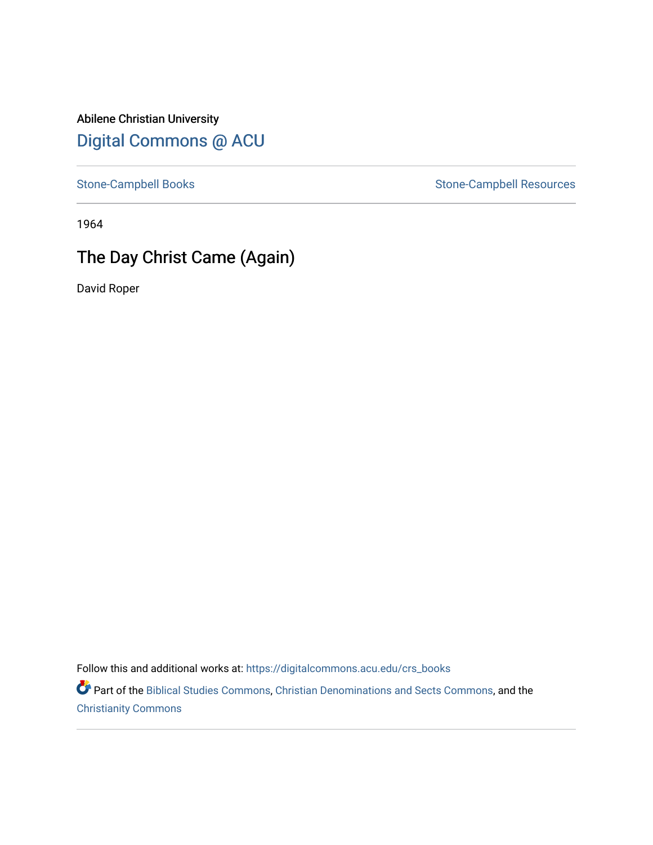Abilene Christian University [Digital Commons @ ACU](https://digitalcommons.acu.edu/)

[Stone-Campbell Books](https://digitalcommons.acu.edu/crs_books) Stone-Campbell Resources

1964

## The Day Christ Came (Again)

David Roper

Follow this and additional works at: [https://digitalcommons.acu.edu/crs\\_books](https://digitalcommons.acu.edu/crs_books?utm_source=digitalcommons.acu.edu%2Fcrs_books%2F598&utm_medium=PDF&utm_campaign=PDFCoverPages) 

Part of the [Biblical Studies Commons,](http://network.bepress.com/hgg/discipline/539?utm_source=digitalcommons.acu.edu%2Fcrs_books%2F598&utm_medium=PDF&utm_campaign=PDFCoverPages) [Christian Denominations and Sects Commons,](http://network.bepress.com/hgg/discipline/1184?utm_source=digitalcommons.acu.edu%2Fcrs_books%2F598&utm_medium=PDF&utm_campaign=PDFCoverPages) and the [Christianity Commons](http://network.bepress.com/hgg/discipline/1181?utm_source=digitalcommons.acu.edu%2Fcrs_books%2F598&utm_medium=PDF&utm_campaign=PDFCoverPages)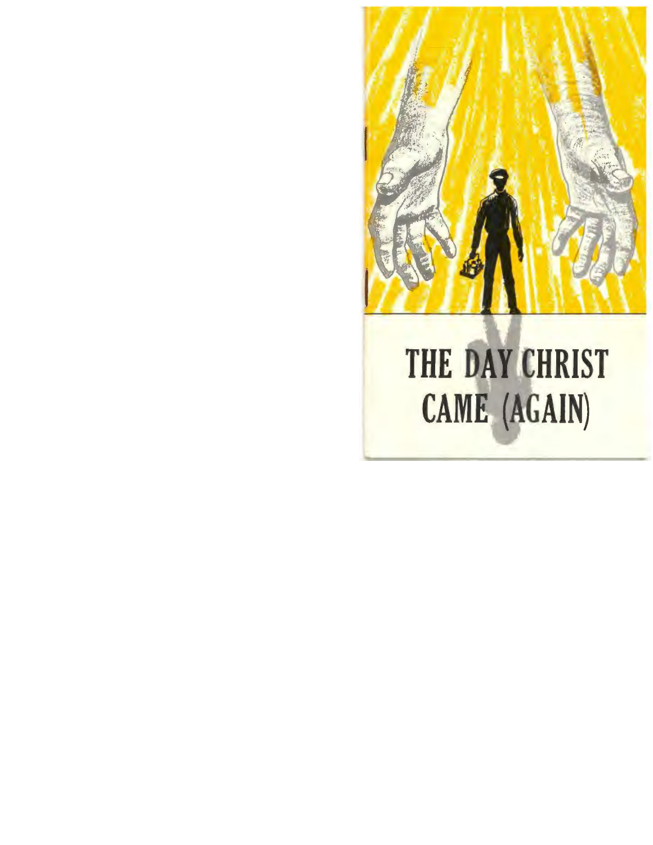

## THE DAY CHRIST CAME (AGAIN)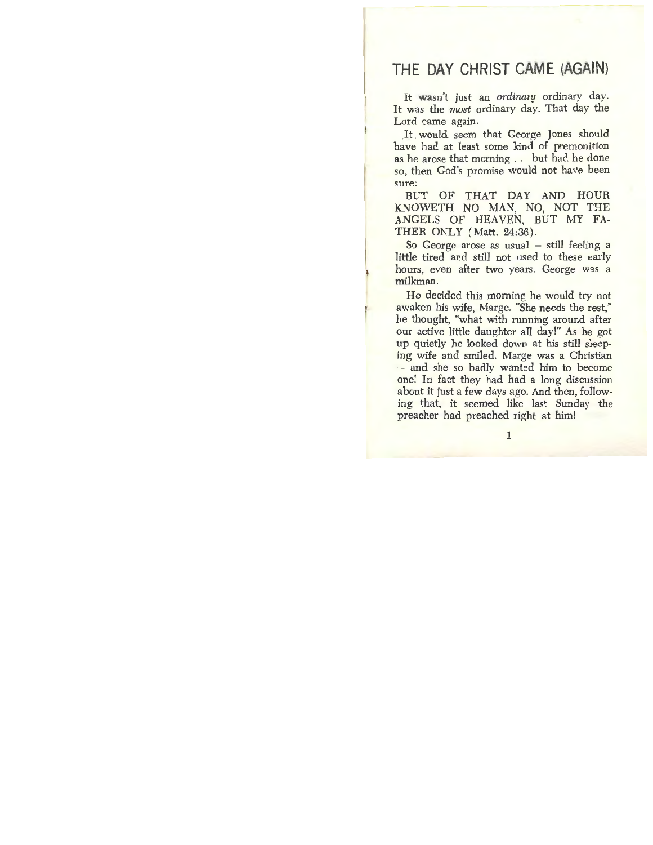## **THE DAY CHRIST CAME (AGAIN)**

It wasn't just an *ordinary* ordinary day. It was the *most* ordinary day. That day the Lord came again.

.It. **would** seem that George Jones should have had at least some kind of premonition as he arose that morning ... but had he done so, then God's promise would not have been sure:

BUT OF THAT DAY AND HOUR KNOWETH NO MAN, NO, NOT THE ANGELS OF HEAVEN, BUT MY FA-THER ONLY (Matt. 24:36).

So George arose as usual  $-$  still feeling a little tired and still not used to these early hours, even after two years. George was a milkman.

He decided this morning he would try not awaken his wife, Marge. "She needs the rest," he thought, "what with running around after our active little daughter all day!" As he got up quietly he looked down at his still sleeping wife and smiled. Marge was a Christian - and she so badly wanted him to become one! In fact they had had a long discussion about it just a few days ago. And then, following that, it seemed like last Sunday the preacher had preached right at him!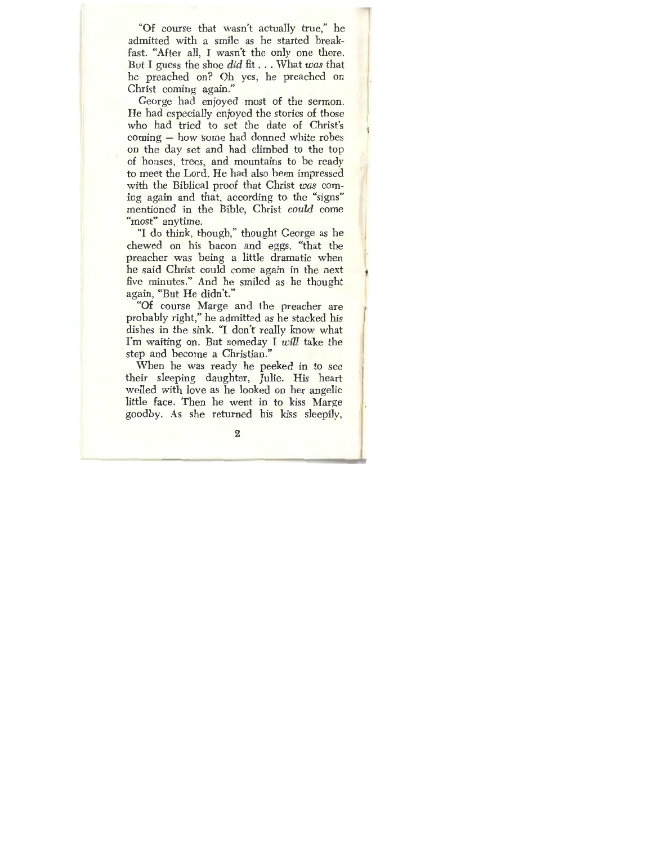"Of course that wasn't actually true," he admitted with a smile as he started breakfast. "After all, I wasn't the only one there. But I guess the shoe *did* fit ... What *was* that he preached on? Oh yes, he preached on Christ coming again."

George had enjoyed most of the sermon. He had especially enjoyed the stories of those who had tried to set the date of Christ's  $\text{coming}$  – how some had donned white robes on the day set and had climbed to the top of houses, trees, and mountains *to* be ready to meet the Lord. He had also been impressed with the Biblical proof that Christ *was* coming again and that, according to the "signs" mentioned in the Bible, Christ *could* come "most" anytime.

"I do think, though," thought George as he chewed on his bacon and eggs, "that the preacher was being a little dramatic when he said Christ could come again in the next five minutes." And he smiled as he thought again, "But He didn't."

"Of course Marge and the preacher are probably right," he admitted as he stacked his dishes in the sink. "I don't really know what I'm waiting on. But someday I *will* take the step and become a Christian."

When he was ready he peeked in to see their sleeping daughter, Julie. His heart welled with love as he looked on her angelic little face. Then he went in to kiss Marge goodby. As she returned his kiss sleepily,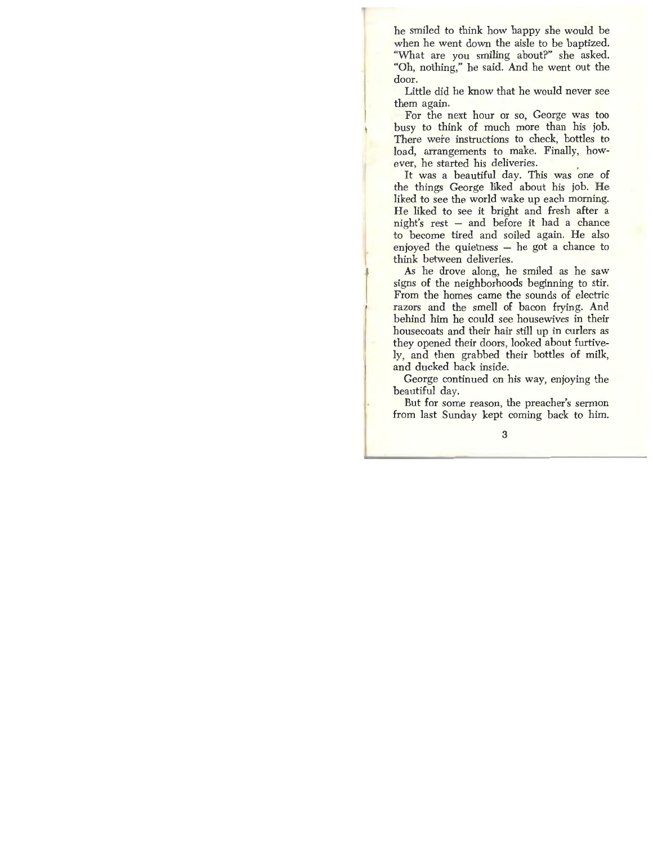he smiled to think how happy she would be when he went down the aisle to be baptized. "What are you smiling about?" she asked. "Oh, nothing," he said. And he went out the door.

Little did he know that he would never see them again.

For the next hour or so, George was too busy to think of much more than his job. There were instructions to check, bottles to load, arrangements to make. Finally, however, he started his deliveries.

It was a beautiful day. This was one of the things George liked about his job. **He**  liked to see the world wake up each morning. He liked to see it bright and fresh after a night's rest - and before it had a chance to become tired and soiled again. He also enjoyed the quietness  $-$  he got a chance to think between deliveries.

As he drove along, he smiled as he saw signs of the neighborhoods beginning to stir. From the homes came the sounds of electric razors and the smell of bacon frying. And behind him he could see housewives in their housecoats and their hair still up in curlers as they opened their doors, looked about furtively, and then grabbed their bottles of milk, and ducked back inside.

George continued on his way, enjoying the beautiful day.

But for some reason, the preacher's sermon from last Sunday kept coming back to him.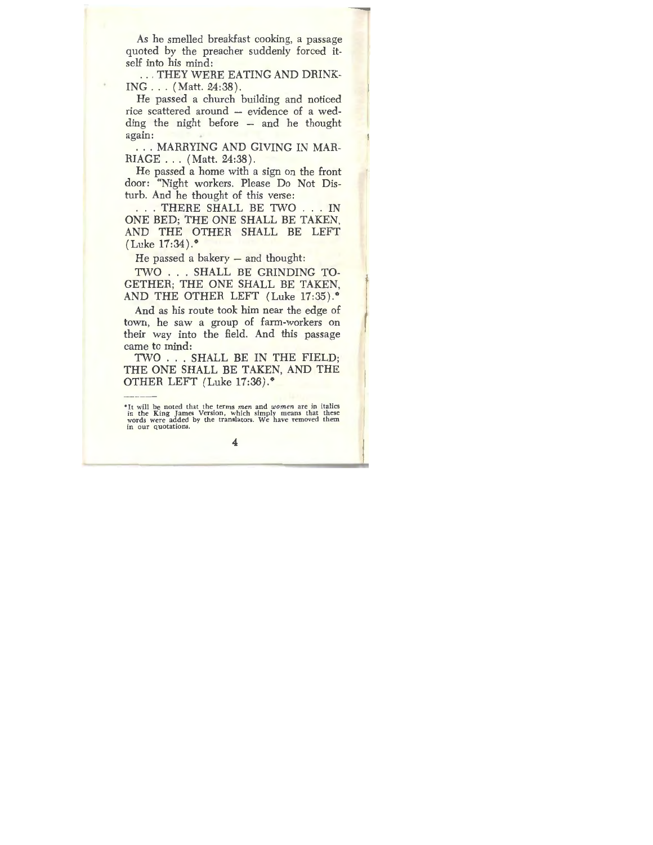As he smelled breakfast cooking, a passage quoted by the preacher suddenly forced itself into his mind:

... THEY WERE EATING AND DRINK-ING ... (Matt. 24:38).

He passed a church building and noticed rice scattered around - evidence of a wed- $\text{diag}$  the night before  $-$  and he thought again:

... MARRYING AND GIVING IN MAR-RIAGE ... (Matt. 24:38).

He passed a home with a sign on the front door: "Night workers. Please Do Not Disturb. And he thought of this verse:

. . . THERE SHALL BE TWO . . . IN ONE BED; THE ONE SHALL BE TAKEN, AND THE OTHER SHALL BE LEFT  $(Luke 17:34).$ 

He passed a bakery  $-$  and thought:

TWO . . . SHALL BE GRINDING TO-GETHER; THE ONE SHALL BE TAKEN, AND THE OTHER LEFT (Luke  $17:35$ ).<sup>\*</sup>

And as his route took him near the edge of town, he saw a group of farm-workers on their way into the field. And this passage came to mind:

TWO ... SHALL BE IN THE FIELD; THE ONE SHALL BE TAKEN, AND THE OTHER LEFT  $(Luke 17:36).$ \*

It will be noted that the terms *men* and *women* are in italics<br>in the King James Version, which simply means that these words were added by the translators. We have removed them **in our quotations.**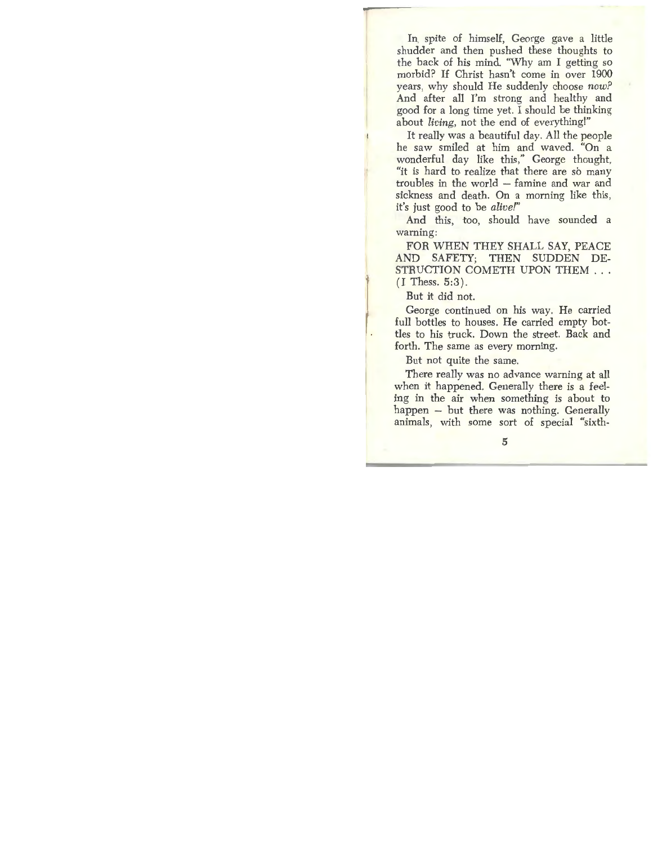In, spite of himself, George gave a little shudder and then pushed these thoughts to the back of his mind. 'Why am I getting so morbid? If Christ hasn't come in over 1900 years, why should He suddenly choose *now?*  And after all I'm strong and healthy and good for a long time yet. I should be thinking about *living,* not the end of everything!"

It really was a beautiful day, All the people he saw smiled at him and waved. "On a wonderful day like this," George thought, "it is hard to realize that there are so many troubles in the world – famine and war and sickness and death. On a morning like this, it's just good to be *alive!"* 

And this, too, should have sounded a warning:

FOR WHEN THEY SHALL SAY, PEACE AND SAFETY; THEN SUDDEN DE-STRUCTION COMETH UPON THEM ...  $(I$  Thess.  $5:3$ ).

But it did not.

George continued on his way. He carried full bottles to houses. He carried empty bottles to his truck. Down the street. Back and forth. The same as every morning.

But not quite the same.

There really was no advance warning at all when it happened. Generally there is a feeling in the air when something is about to happen - but there was nothing. Generally animals, with some sort of special "sixth-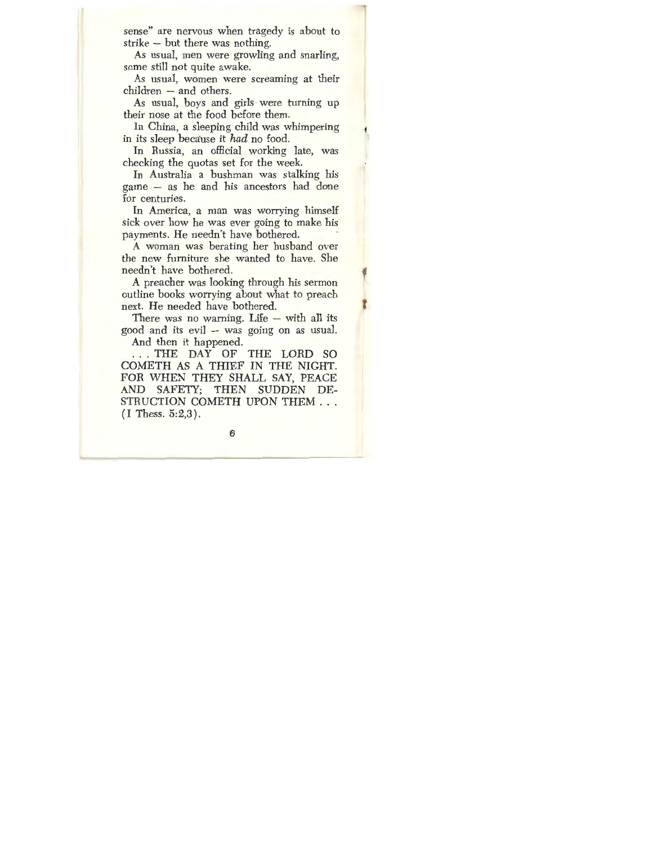sense" are nervous when tragedy is about to strike - but there was nothing.

As usual, men were growling and snarling, some still not quite awake.

As usual, women were screaming at their children - and others.

As usual, boys and girls· were turning up their nose at the food before them.

In China, a sleeping child was whimpering in its sleep because it *had* no food.

In Russia, an official working late, was checking the quotas set for the week.

In Australia a bushman was stalking his game - as he and his ancestors had done for centuries.

In America, a man was worrying himself sick over how he was ever going to make his payments. He needn't have bothered.

A woman was berating her husband over the new furniture she wanted to have. She needn't have bothered.

A preacher was looking through his sermon outline books worrying about what to preach next. He needed have bothered.

There was no warning. Life  $-$  with all its good and its  $evil - was going on as usual$ .

And then it happened.

. . . THE DAY OF THE LORD SO COMETH AS A THIEF IN THE NIGHT. FOR WHEN THEY SHALL SAY, PEACE AND SAFETY; THEN SUDDEN DE-STRUCTION COMETH UPON THEM ... (I Thess. 5:2,3).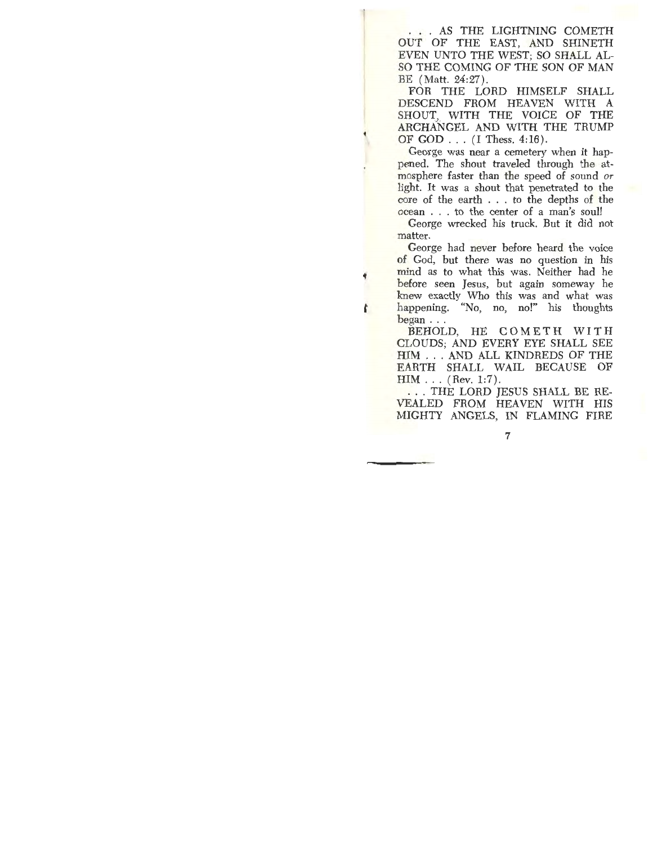... AS THE LIGHTNING COMETH OUT OF THE EAST, AND SHINETH EVEN UNTO THE WEST; SO SHALL AL-SO THE COMING OF THE SON OF MAN BE (Matt. 24:27).

FOR THE LORD HIMSELF SHALL DESCEND FROM HEAVEN WITH A SHOUT, WITH THE VOICE OF THE ARCHANGEL AND WITH THE TRUMP OF GOD ... (I Thess. 4:16).

George was near a cemetery when it happened. The shout traveled through the atmosphere faster than the speed of sound *or*  light. It was a shout that penetrated *to* the core of the earth . . . *to* the depths of the ocean ... to the center of a man's soul!

George wrecked his truck. But it did not matter.

George had never before heard the voice of God, but there was no question in his mind as to what this was. Neither had he before seen Jesus, but again someway he knew exactly Who this was and what was happening. "No, no, no!" his thoughts began ...

ř

BEHOLD, HE COMETH WITH CLOUDS; AND EVERY EYE SHALL SEE HIM ... AND ALL KINDREDS OF THE EARTH SHALL WAIL BECAUSE OF  $HIM$ ... (Rev. 1:7).

. . . THE LORD JESUS SHALL BE RE-VEALED FROM HEAVEN WITH HIS MIGHTY ANGELS, IN FLAMING FIRE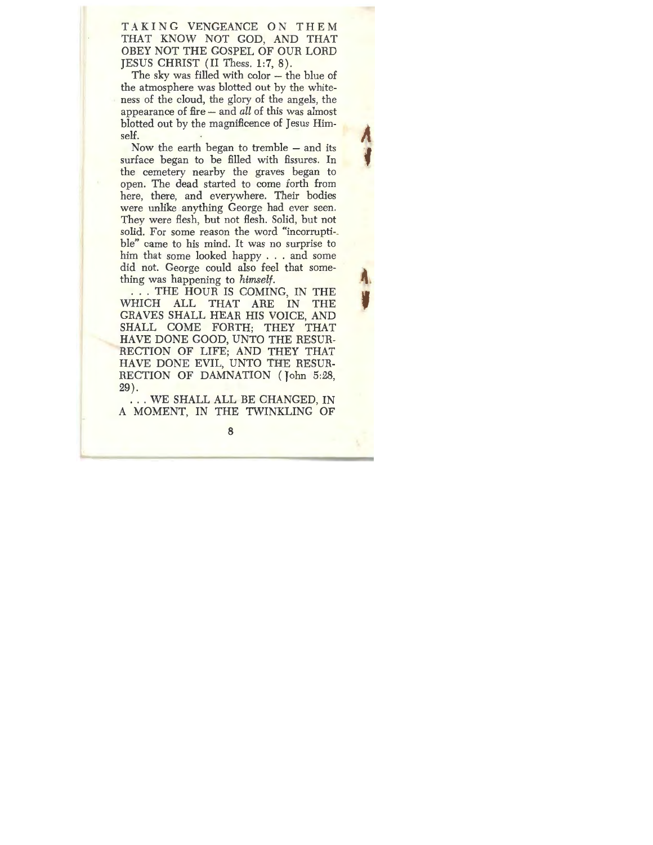TAKING VENGEANCE ON THEM **THAT KNOW NOT GOD, AND THAT**  OBEY NOT THE GOSPEL OF OUR LORD JESUS CHRIST (II Thess. 1:7, 8).

The sky was filled with color  $-$  the blue of the atmosphere was blotted out by the whiteness of the cloud, the glory of the angels, the appearance of fire - and *all* of this was almost blotted out by the magnificence of Jesus Him- $\mathsf{self.}$  //

Now the earth began to tremble  $-$  and its surface began to be filled with fissures. In the cemetery nearby the graves began *to*  open. The dead started to come forth from here, there, and everywhere. Their bodies were unlike anything George had ever seen. They were flesh, but not flesh. Solid, but not solid. For some reason the word "incorruptible" came to his mind. It was no surprise to him that some looked happy ... and some did not. George could also feel that something was happening to *himself*.

... THE HOUR IS COMING, IN THE WHICH ALL THAT ARE IN THE GRAVES SHALL HEAR HIS VOICE, AND SHALL COME FORTH; THEY THAT HAVE DONE GOOD, UNTO THE RESUR-RECTION OF LIFE; AND THEY THAT HAVE DONE EVIL, UNTO THE RESUR-RECTION OF DAMNATION (John 5:28, 29) .

... WE SHALL ALL BE CHANGED, IN A MOMENT, IN THE TWINKLING OF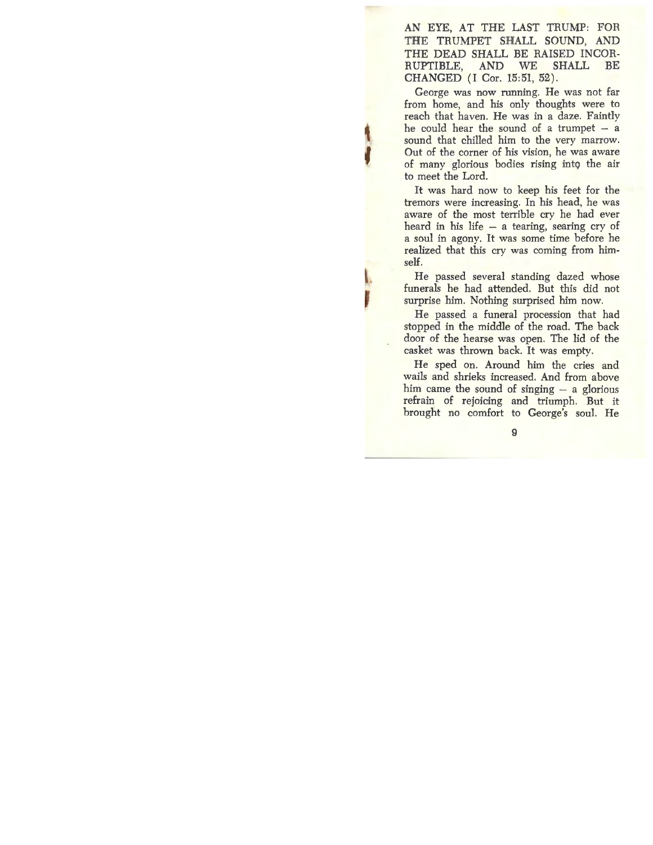AN EYE, AT THE LAST TRUMP: FOR THE TRUMPET SHALL SOUND, AND THE DEAD SHALL BE RAISED INCOR-RUPTIBLE, AND WE SHALL BE CHANGED (I Cor. 15:51, 52).

George was now running. He was not far from home, and his only thoughts were to reach that haven. He was in a daze. Faintly he could hear the sound of a trumpet  $-$  a sound that chilled him to the very marrow. Out of the corner of his vision, he was aware of many glorious bodies rising into the air to meet the Lord.

It was hard now to keep his feet for the tremors were increasing. In his head, he was aware of the most terrible cry he had ever heard in his life  $-$  a tearing, searing cry of a soul in agony. It was some time before he realized that this cry was coming from himself.

 $\overline{\phantom{a}}$ He passed several standing dazed whose funerals he had attended. But this did not surprise him. Nothing surprised him now.

l.

He passed a funeral procession that had stopped in the middle of the road. The back door of the hearse was open. The lid of the casket was thrown back. It was empty.

He sped on. Around him the cries and wails and shrieks increased. And from above him came the sound of singing  $-$  a glorious refrain of rejoicing and triumph. But it brought no comfort to George's soul. He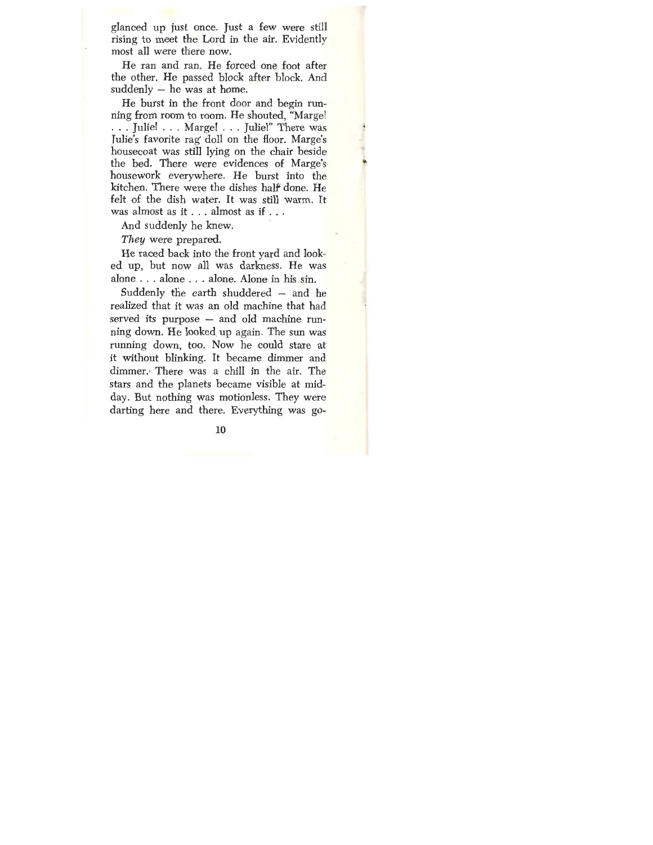glanced up just once. Just a few were still rising to meet the Lord in the air. Evidently most all were there now.

He ran and ran. He forced one foot after the other. He passed block after block. And  $suddenly - he was at home.$ 

He burst in the front door and begin running from room to room. He shouted, "Margel ... Julie! ... Marge! ... Julie!" There was Julie's favorite rag' doll on the floor. Marge's housecoat was still lying on the chair beside the bed. There were evidences of Marge's housework everywhere. He burst into the kitchen. There were the dishes half done. He felt of the dish water. It was still warm. It was almost as it . . . almost as if ...

And suddenly he knew.

*They* were prepared.

He raced back into the front yard and looked up, but now all was darkness. He was alone . . . alone ... alone. Alone in his sin.

Suddenly the earth shuddered  $-$  and he realized that it was an old machine that had served its purpose - and old machine running down. He looked. up again. The sun was running down, too. Now he could stare at it without blinking. It became dimmer and dimmer.· There was a chill in the air. The stars and the planets became visible at midday. But nothing was motionless. They were darting here and there. Everything was go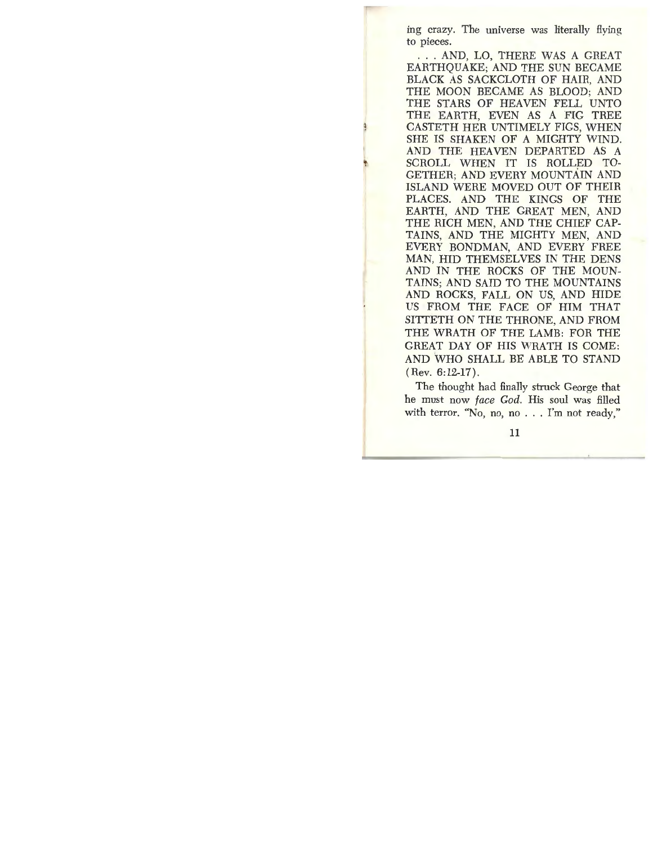ing crazy. The universe was 1iterally flying to pieces.

. . . AND, LO, THERE WAS A GREAT EARTHQUAKE; AND THE SUN BECAME BLACK AS SACKCLOTH OF HAIR, AND THE MOON BECAME AS BLOOD; AND THE STARS OF HEAVEN FELL UNTO THE EARTH, EVEN AS A FIG TREE CASTETH HER UNTIMELY FIGS, WHEN SHE IS SHAKEN OF A MIGHTY WIND. AND THE HEAVEN DEPARTED AS A SCROLL WHEN IT IS ROLLED TO-GETHER; AND EVERY MOUNTAIN AND ISLAND WERE MOVED OUT OF THEIR PLACES. AND THE KINGS OF THE EARTH, AND THE GREAT MEN, AND THE RICH MEN, AND THE CHIEF CAP-TAINS, AND THE MIGHTY MEN, AND EVERY BONDMAN, AND EVERY FREE MAN, HID THEMSELVES IN THE DENS AND IN THE ROCKS OF THE MOUN-TAINS; AND SAID TO THE MOUNTAINS AND ROCKS, FALL ON US, AND HIDE US FROM THE FACE OF HIM THAT SITTETH ON THE THRONE, AND FROM THE WRATH OF THE LAMB: FOR THE GREAT DAY OF HIS WRATH IS COME: AND 'WHO SHALL BE ABLE TO STAND (Rev. 6:12-17).

The thought had finally struck George that he must now *face God,* His soul was filled with terror. "No, no, no . . . I'm not ready,"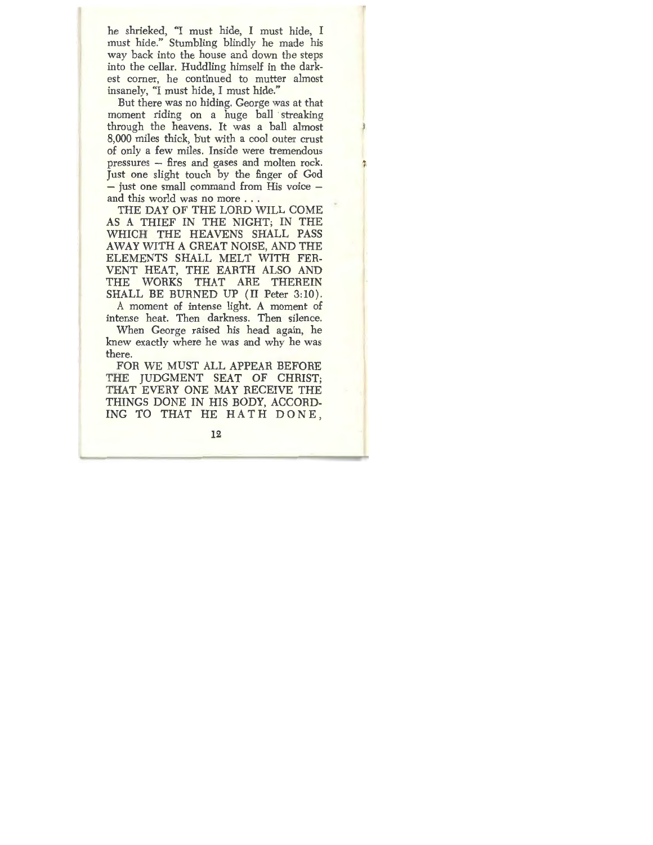he shrieked, "I must hide, I must hide, I must hide." Stumbling blindly he made his way back into the house and down the steps into the cellar. Huddling himself in the darkest corner, he continued to mutter almost insanely, "I must hide, I must hide."

But there was no hiding. George was at that moment riding on a huge ball streaking through the heavens. It was a ball almost 8,000 miles thick, but with a cool outer crust of only a few miles. Inside were tremendous pressures - fires and gases and molten rock. Just one slight touch by the finger of God - just one small command from His voice and this world was no more ...

THE DAY OF THE LORD WILL COME AS A THIEF IN THE NIGHT; IN THE WHICH THE HEAVENS SHALL PASS AWAY WITH A GREAT NOISE, AND THE ELEMENTS SHALL MELT WITH FER-VENT HEAT, THE EARTH ALSO AND THE WORKS THAT ARE THEREIN SHALL BE BURNED UP (II Peter 3:10).

A moment of intense light. A moment of intense heat. Then darkness. Then silence.

When George raised his head again, he knew exactly where he was and why he was there.

FOR WE MUST ALL APPEAR BEFORE THE JUDGMENT SEAT OF CHRIST; THAT EVERY ONE MAY RECEIVE THE THINGS DONE IN HIS BODY, ACCORD-ING TO THAT HE HATH DONE ,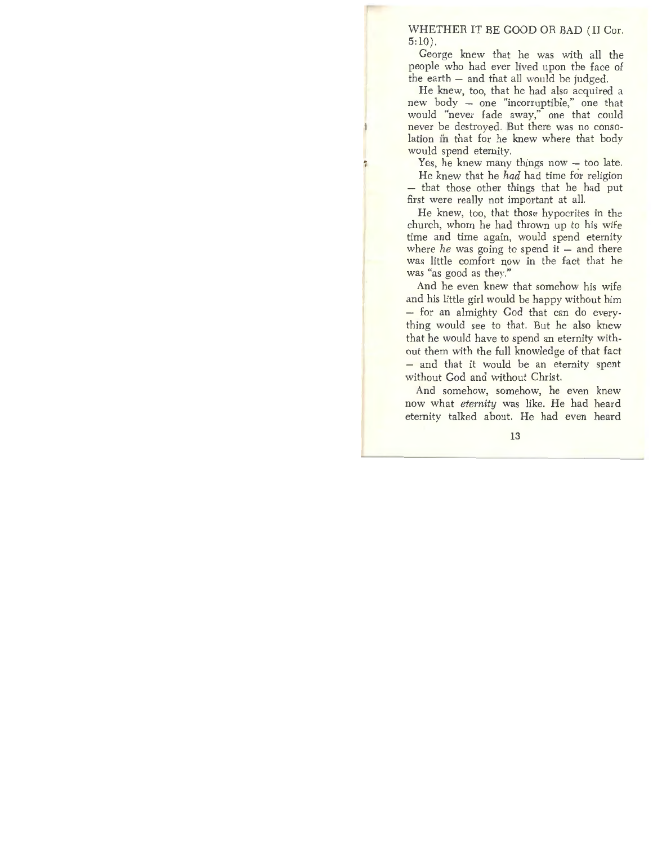WHETHER IT BE GOOD OR BAD (II Cor. 5:10).

George knew that he was with all the people who had ever lived upon the face of the earth — and that all would be judged.

He knew, too, that he had also acquired a new body - one "incorruptible," one that would "never fade away," one that could never be destroyed. But there was no consolation in that for he knew where that body would spend eternity.

Yes, he knew many things now  $-$  too late.

He knew that he *had* had time for religion - that those other things that he had put first were really not important at all.

He knew, too, that those hypocrites in the church, whom he had thrown up to his wife time and time again, would spend eternity where *he* was going to spend it - and there was little comfort now in the fact that he was "as good as they."

And he even knew that somehow his wife and his little girl would be happy without him - for an almighty God that can do everything would see to that. But he also knew that he would have to spend an eternity without them with the full knowledge of that fact - and that it would be an eternity spent without God and without Christ.

And somehow, somehow, he even knew now what *eternity* was like. He had heard eternity talked about. He had even heard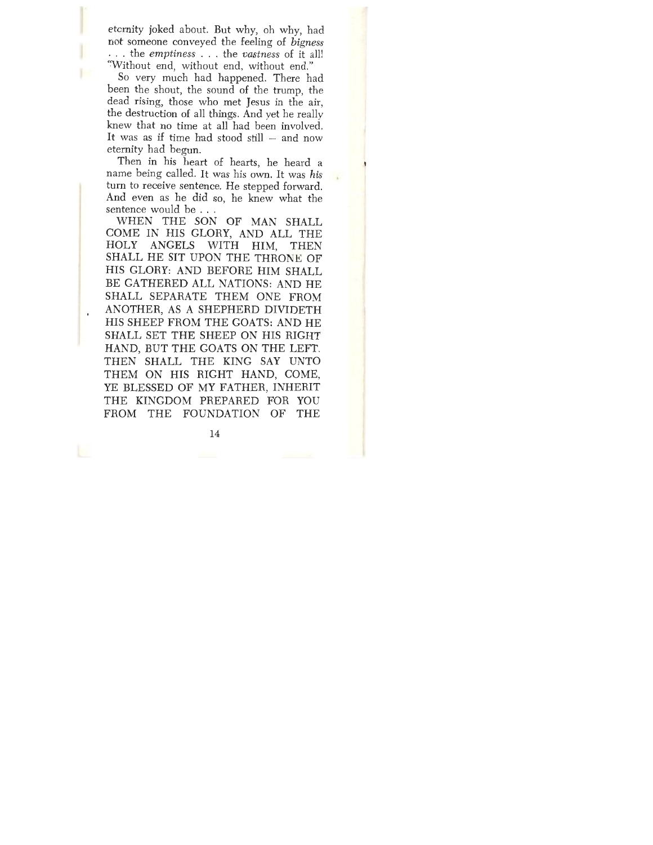eternity joked about. But why, oh why, had not someone conveyed the feeling of *bigness*  ... the *emptiness* ... the *vastness* of it all! 'Without end, without end, without end."

So very much had happened. There had been the shout, the sound of the trump, the dead rising, those who met Jesus in the air, the destruction of all things. And yet he really knew that no time at all had been involved. It was as if time had stood still  $-$  and now eternity had begun.

Then in his heart of hearts, he heard a name being called. It was his own. It was *his*  turn to receive sentence. He stepped forward. And even as he did so, he knew what the sentence would be ...

WHEN THE SON OF MAN SHALL COME IN HIS GLORY, AND ALL THE HOLY ANGELS WITH HIM, THEN SHALL HE SIT UPON THE THRONE OF HIS GLORY: AND BEFORE HIM SHALL BE GATHERED ALL NATIONS: AND HE SHALL SEPARATE THEM ONE FROM ANOTHER, AS A SHEPHERD DIVIDETH HIS SHEEP FROM THE GOATS: AND HE SHALL SET THE SHEEP ON HIS RIGHT HAND, BUT THE GOATS ON THE LEFT. THEN SHALL THE KING SAY UNTO THEM ON HIS RIGHT HAND, COME, YE BLESSED OF MY FATHER, INHERIT THE KINGDOM PREPARED FOR YOU FROM THE FOUNDATION OF THE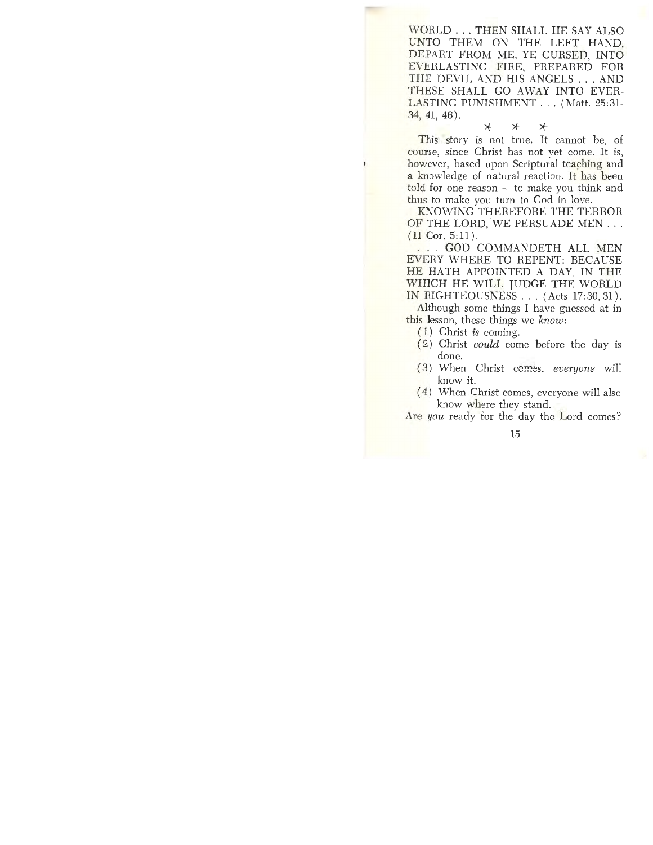WORLD ... THEN SHALL HE SAY ALSO UNTO THEM ON THE LEFT HAND, DEPART FROM ME, YE CURSED, INTO EVERLASTING FIRE, PREPARED FOR THE DEVIL AND HIS ANGELS ... AND THESE SHALL GO AWAY INTO EVER-LASTING PUNISHMENT ... (Matt. 25:31- 34, 41, 46).

 $*$   $*$   $*$ 

This story is not true. It cannot be, of course, since Christ has not yet come. It is, however, based upon Scriptural teaching and a knowledge of natural reaction. It has been told for one reason — to make you think and thus to make you turn to God in love.

**KNOWING** THEREFORE THE TERROR OF THE LORD, WE PERSUADE MEN ... (II Cor. 5:11).

. . . GOD COMMANDETH ALL MEN EVERY WHERE TO REPENT: BECAUSE HE HATH APPOINTED A DAY, IN THE WHICH HE WILL JUDGE THE WORLD IN RIGHTEOUSNESS ... (Acts 17:30, 31).

Although some things I have guessed at in this lesson, these things we *know:* 

- *(* 1) Christ *is* coming.
- ( 2) Christ *could* come before the day is done.
- ( 3) When Christ comes, *everyone* will know it.
- ( 4) When Christ comes, everyone will also know where they stand.

Are *you* ready for the day the Lord comes?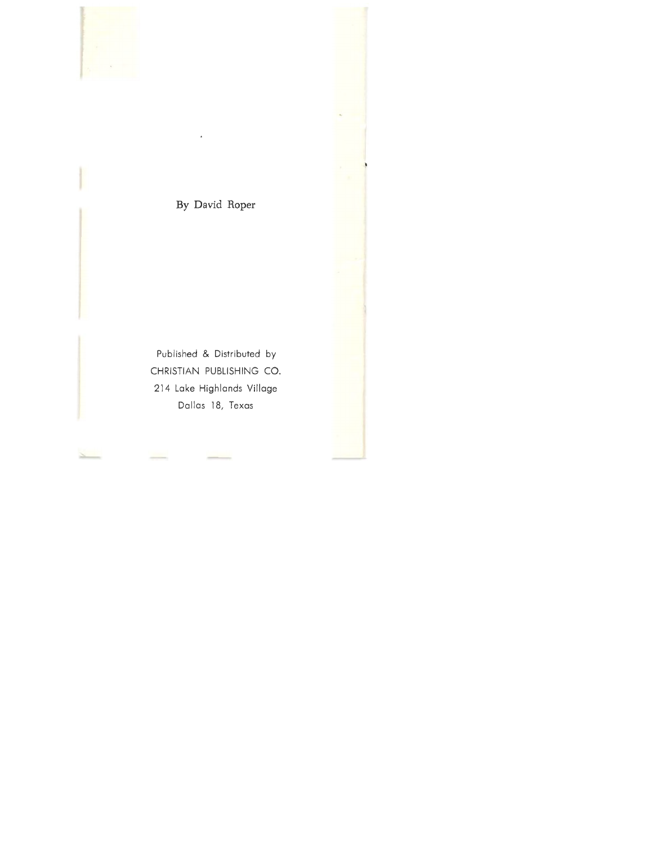

## **By David Roper**

Published & Distributed by CHRISTIAN PUBLISHING CO. 214 Lake Highlands Village Dallas 18, Texas